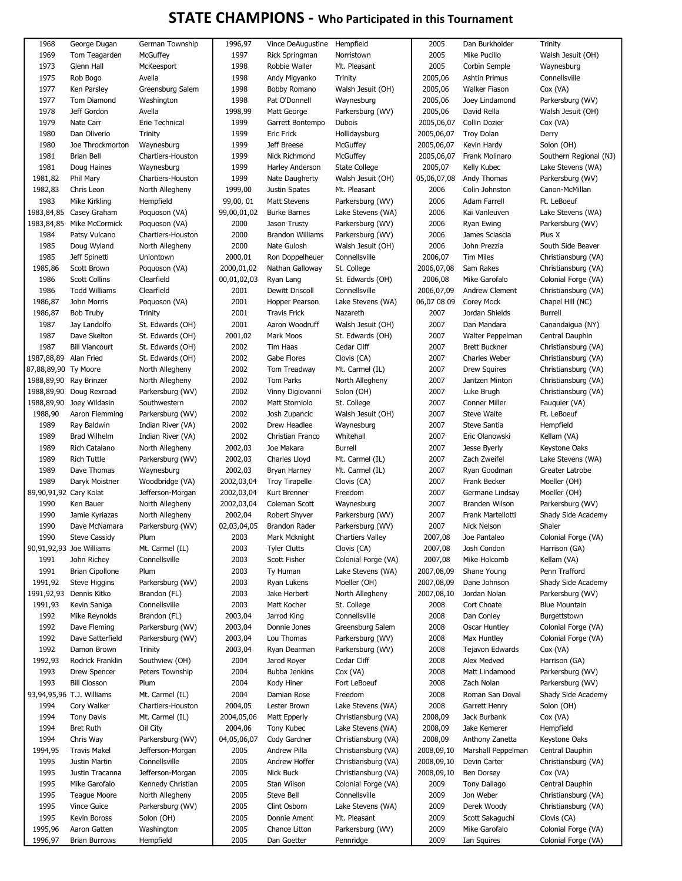## STATE CHAMPIONS - Who Participated in this Tournament

| 1968                   | George Dugan              | German Township   | 1996,97     | Vince DeAugustine Hempfield |                     | 2005        | Dan Burkholder       | Trinity                |
|------------------------|---------------------------|-------------------|-------------|-----------------------------|---------------------|-------------|----------------------|------------------------|
| 1969                   | Tom Teagarden             | McGuffey          | 1997        | <b>Rick Springman</b>       | Norristown          | 2005        | Mike Pucillo         | Walsh Jesuit (OH)      |
| 1973                   | Glenn Hall                | McKeesport        | 1998        | Robbie Waller               | Mt. Pleasant        | 2005        | Corbin Semple        | Waynesburg             |
| 1975                   | Rob Bogo                  | Avella            | 1998        | Andy Migyanko               | <b>Trinity</b>      | 2005,06     | Ashtin Primus        | Connellsville          |
| 1977                   | Ken Parsley               | Greensburg Salem  | 1998        | Bobby Romano                | Walsh Jesuit (OH)   | 2005,06     | <b>Walker Fiason</b> | Cox (VA)               |
| 1977                   | <b>Tom Diamond</b>        | Washington        | 1998        | Pat O'Donnell               | Waynesburg          | 2005,06     | Joey Lindamond       | Parkersburg (WV)       |
| 1978                   | Jeff Gordon               | Avella            | 1998,99     | Matt George                 | Parkersburg (WV)    | 2005,06     | David Rella          | Walsh Jesuit (OH)      |
| 1979                   | Nate Carr                 | Erie Technical    | 1999        | Garrett Bontempo            | <b>Dubois</b>       | 2005,06,07  | Collin Dozier        | Cox (VA)               |
| 1980                   | Dan Oliverio              |                   | 1999        | Eric Frick                  |                     | 2005,06,07  |                      |                        |
|                        |                           | Trinity           |             |                             | Hollidaysburg       |             | <b>Troy Dolan</b>    | Derry                  |
| 1980                   | Joe Throckmorton          | Waynesburg        | 1999        | Jeff Breese                 | McGuffey            | 2005,06,07  | Kevin Hardy          | Solon (OH)             |
| 1981                   | Brian Bell                | Chartiers-Houston | 1999        | <b>Nick Richmond</b>        | McGuffey            | 2005,06,07  | Frank Molinaro       | Southern Regional (NJ) |
| 1981                   | Doug Haines               | Waynesburg        | 1999        | Harley Anderson             | State College       | 2005,07     | Kelly Kubec          | Lake Stevens (WA)      |
| 1981,82                | Phil Mary                 | Chartiers-Houston | 1999        | Nate Daugherty              | Walsh Jesuit (OH)   | 05,06,07,08 | Andy Thomas          | Parkersburg (WV)       |
| 1982,83                | Chris Leon                | North Allegheny   | 1999,00     | Justin Spates               | Mt. Pleasant        | 2006        | Colin Johnston       | Canon-McMillan         |
| 1983                   | Mike Kirkling             | Hempfield         | 99,00,01    | Matt Stevens                | Parkersburg (WV)    | 2006        | Adam Farrell         | Ft. LeBoeuf            |
| 1983,84,85             | Casey Graham              | Poquoson (VA)     | 99,00,01,02 | <b>Burke Barnes</b>         | Lake Stevens (WA)   | 2006        | Kai Vanleuven        | Lake Stevens (WA)      |
| 1983,84,85             | Mike McCormick            | Poquoson (VA)     | 2000        | Jason Trusty                | Parkersburg (WV)    | 2006        | Ryan Ewing           | Parkersburg (WV)       |
| 1984                   | Patsy Vulcano             | Chartiers-Houston | 2000        | Brandon Williams            | Parkersburg (WV)    | 2006        | James Sciascia       | Pius X                 |
| 1985                   | Doug Wyland               | North Allegheny   | 2000        | Nate Gulosh                 | Walsh Jesuit (OH)   | 2006        | John Prezzia         | South Side Beaver      |
| 1985                   | Jeff Spinetti             | Uniontown         | 2000,01     | Ron Doppelheuer             | Connellsville       | 2006,07     | <b>Tim Miles</b>     | Christiansburg (VA)    |
|                        | Scott Brown               |                   | 2000,01,02  | Nathan Galloway             |                     | 2006,07,08  | Sam Rakes            | Christiansburg (VA)    |
| 1985,86                |                           | Poquoson (VA)     |             |                             | St. College         |             |                      |                        |
| 1986                   | <b>Scott Collins</b>      | Clearfield        | 00,01,02,03 | Ryan Lang                   | St. Edwards (OH)    | 2006,08     | Mike Garofalo        | Colonial Forge (VA)    |
| 1986                   | <b>Todd Williams</b>      | Clearfield        | 2001        | Dewitt Driscoll             | Connellsville       | 2006,07,09  | Andrew Clement       | Christiansburg (VA)    |
| 1986,87                | John Morris               | Poquoson (VA)     | 2001        | Hopper Pearson              | Lake Stevens (WA)   | 06,07 08 09 | Corey Mock           | Chapel Hill (NC)       |
| 1986,87                | Bob Truby                 | Trinity           | 2001        | <b>Travis Frick</b>         | Nazareth            | 2007        | Jordan Shields       | Burrell                |
| 1987                   | Jay Landolfo              | St. Edwards (OH)  | 2001        | Aaron Woodruff              | Walsh Jesuit (OH)   | 2007        | Dan Mandara          | Canandaigua (NY)       |
| 1987                   | Dave Skelton              | St. Edwards (OH)  | 2001,02     | Mark Moos                   | St. Edwards (OH)    | 2007        | Walter Peppelman     | Central Dauphin        |
| 1987                   | <b>Bill Viancourt</b>     | St. Edwards (OH)  | 2002        | Tim Haas                    | Cedar Cliff         | 2007        | <b>Brett Buckner</b> | Christiansburg (VA)    |
| 1987,88,89 Alan Fried  |                           | St. Edwards (OH)  | 2002        | Gabe Flores                 | Clovis (CA)         | 2007        | Charles Weber        | Christiansburg (VA)    |
| 87,88,89,90 Ty Moore   |                           | North Allegheny   | 2002        | Tom Treadway                | Mt. Carmel (IL)     | 2007        | <b>Drew Squires</b>  | Christiansburg (VA)    |
| 1988,89,90 Ray Brinzer |                           | North Allegheny   | 2002        | Tom Parks                   | North Allegheny     | 2007        | Jantzen Minton       | Christiansburg (VA)    |
|                        |                           |                   |             |                             |                     | 2007        |                      |                        |
|                        | 1988,89,90 Doug Rexroad   | Parkersburg (WV)  | 2002        | Vinny Digiovanni            | Solon (OH)          |             | Luke Brugh           | Christiansburg (VA)    |
| 1988,89,90             | Joey Wildasin             | Southwestern      | 2002        | Matt Storniolo              | St. College         | 2007        | <b>Conner Miller</b> | Fauquier (VA)          |
| 1988,90                | Aaron Flemming            | Parkersburg (WV)  | 2002        | Josh Zupancic               | Walsh Jesuit (OH)   | 2007        | <b>Steve Waite</b>   | Ft. LeBoeuf            |
| 1989                   | Ray Baldwin               | Indian River (VA) | 2002        | Drew Headlee                | Waynesburg          | 2007        | Steve Santia         | Hempfield              |
| 1989                   | <b>Brad Wilhelm</b>       | Indian River (VA) | 2002        | Christian Franco            | Whitehall           | 2007        | Eric Olanowski       | Kellam (VA)            |
| 1989                   | Rich Catalano             | North Allegheny   | 2002,03     | Joe Makara                  | Burrell             | 2007        | Jesse Byerly         | Keystone Oaks          |
| 1989                   | <b>Rich Tuttle</b>        | Parkersburg (WV)  | 2002,03     | Charles Lloyd               | Mt. Carmel (IL)     | 2007        | Zach Zweifel         | Lake Stevens (WA)      |
| 1989                   | Dave Thomas               | Waynesburg        | 2002,03     | Bryan Harney                | Mt. Carmel (IL)     | 2007        | Ryan Goodman         | Greater Latrobe        |
| 1989                   | Daryk Moistner            | Woodbridge (VA)   | 2002,03,04  | Troy Tirapelle              | Clovis (CA)         | 2007        | Frank Becker         | Moeller (OH)           |
| 89,90,91,92 Cary Kolat |                           | Jefferson-Morgan  | 2002,03,04  | Kurt Brenner                | Freedom             | 2007        | Germane Lindsay      | Moeller (OH)           |
| 1990                   | Ken Bauer                 | North Allegheny   | 2002,03,04  | Coleman Scott               | Waynesburg          | 2007        | Branden Wilson       | Parkersburg (WV)       |
|                        |                           |                   |             |                             |                     |             | Frank Martellotti    |                        |
| 1990                   | Jamie Kyriazas            | North Allegheny   | 2002,04     | Robert Shyver               | Parkersburg (WV)    | 2007        |                      | Shady Side Academy     |
| 1990                   | Dave McNamara             | Parkersburg (WV)  | 02,03,04,05 | Brandon Rader               | Parkersburg (WV)    | 2007        | Nick Nelson          | Shaler                 |
| 1990                   | <b>Steve Cassidy</b>      | Plum              | 2003        | Mark Mcknight               | Chartiers Valley    | 2007,08     | Joe Pantaleo         | Colonial Forge (VA)    |
|                        | 90,91,92,93 Joe Williams  | Mt. Carmel (IL)   | 2003        | <b>Tyler Clutts</b>         | Clovis (CA)         | 2007,08     | Josh Condon          | Harrison (GA)          |
| 1991                   | John Richey               | Connellsville     | 2003        | Scott Fisher                | Colonial Forge (VA) | 2007,08     | Mike Holcomb         | Kellam (VA)            |
| 1991                   | <b>Brian Cipollone</b>    | Plum              | 2003        | Ty Human                    | Lake Stevens (WA)   | 2007,08,09  | Shane Young          | Penn Trafford          |
| 1991,92                | Steve Higgins             | Parkersburg (WV)  | 2003        | Ryan Lukens                 | Moeller (OH)        | 2007,08,09  | Dane Johnson         | Shady Side Academy     |
| 1991,92,93             | Dennis Kitko              | Brandon (FL)      | 2003        | Jake Herbert                | North Allegheny     | 2007,08,10  | Jordan Nolan         | Parkersburg (WV)       |
| 1991,93                | Kevin Saniga              | Connellsville     | 2003        | Matt Kocher                 | St. College         | 2008        | Cort Choate          | <b>Blue Mountain</b>   |
| 1992                   | Mike Reynolds             | Brandon (FL)      | 2003,04     | Jarrod King                 | Connellsville       | 2008        | Dan Conley           | Burgettstown           |
| 1992                   | Dave Fleming              | Parkersburg (WV)  | 2003,04     | Donnie Jones                | Greensburg Salem    | 2008        | Oscar Huntley        | Colonial Forge (VA)    |
| 1992                   | Dave Satterfield          | Parkersburg (WV)  | 2003,04     | Lou Thomas                  | Parkersburg (WV)    | 2008        | Max Huntley          | Colonial Forge (VA)    |
|                        |                           |                   |             |                             |                     |             |                      |                        |
| 1992                   | Damon Brown               | Trinity           | 2003,04     | Ryan Dearman                | Parkersburg (WV)    | 2008        | Tejavon Edwards      | Cox (VA)               |
| 1992,93                | Rodrick Franklin          | Southview (OH)    | 2004        | Jarod Royer                 | Cedar Cliff         | 2008        | Alex Medved          | Harrison (GA)          |
| 1993                   | <b>Drew Spencer</b>       | Peters Township   | 2004        | Bubba Jenkins               | Cox (VA)            | 2008        | Matt Lindamood       | Parkersburg (WV)       |
| 1993                   | <b>Bill Closson</b>       | Plum              | 2004        | Kody Hiner                  | Fort LeBoeuf        | 2008        | Zach Nolan           | Parkersburg (WV)       |
|                        | 93,94,95,96 T.J. Williams | Mt. Carmel (IL)   | 2004        | Damian Rose                 | Freedom             | 2008        | Roman San Doval      | Shady Side Academy     |
| 1994                   | Cory Walker               | Chartiers-Houston | 2004,05     | Lester Brown                | Lake Stevens (WA)   | 2008        | Garrett Henry        | Solon (OH)             |
| 1994                   | <b>Tony Davis</b>         | Mt. Carmel (IL)   | 2004,05,06  | Matt Epperly                | Christiansburg (VA) | 2008,09     | Jack Burbank         | $Cox$ (VA)             |
| 1994                   | <b>Bret Ruth</b>          | Oil City          | 2004,06     | Tony Kubec                  | Lake Stevens (WA)   | 2008,09     | Jake Kemerer         | Hempfield              |
| 1994                   | Chris Way                 | Parkersburg (WV)  | 04,05,06,07 | Cody Gardner                | Christiansburg (VA) | 2008,09     | Anthony Zanetta      | Keystone Oaks          |
| 1994,95                |                           | Jefferson-Morgan  | 2005        | Andrew Pilla                | Christiansburg (VA) | 2008,09,10  | Marshall Peppelman   | Central Dauphin        |
|                        | <b>Travis Makel</b>       |                   |             |                             |                     |             |                      |                        |
| 1995                   | Justin Martin             | Connellsville     | 2005        | Andrew Hoffer               | Christiansburg (VA) | 2008,09,10  | Devin Carter         | Christiansburg (VA)    |
| 1995                   | Justin Tracanna           | Jefferson-Morgan  | 2005        | Nick Buck                   | Christiansburg (VA) | 2008,09,10  | Ben Dorsey           | Cox (VA)               |
| 1995                   | Mike Garofalo             | Kennedy Christian | 2005        | Stan Wilson                 | Colonial Forge (VA) | 2009        | Tony Dallago         | Central Dauphin        |
| 1995                   | Teague Moore              | North Allegheny   | 2005        | Steve Bell                  | Connellsville       | 2009        | Jon Weber            | Christiansburg (VA)    |
| 1995                   | Vince Guice               | Parkersburg (WV)  | 2005        | Clint Osborn                | Lake Stevens (WA)   | 2009        | Derek Woody          | Christiansburg (VA)    |
| 1995                   | Kevin Boross              | Solon (OH)        | 2005        | Donnie Ament                | Mt. Pleasant        | 2009        | Scott Sakaguchi      | Clovis (CA)            |
| 1995,96                | Aaron Gatten              | Washington        | 2005        | Chance Litton               | Parkersburg (WV)    | 2009        | Mike Garofalo        | Colonial Forge (VA)    |
| 1996,97                | <b>Brian Burrows</b>      | Hempfield         | 2005        | Dan Goetter                 | Pennridge           | 2009        | Ian Squires          | Colonial Forge (VA)    |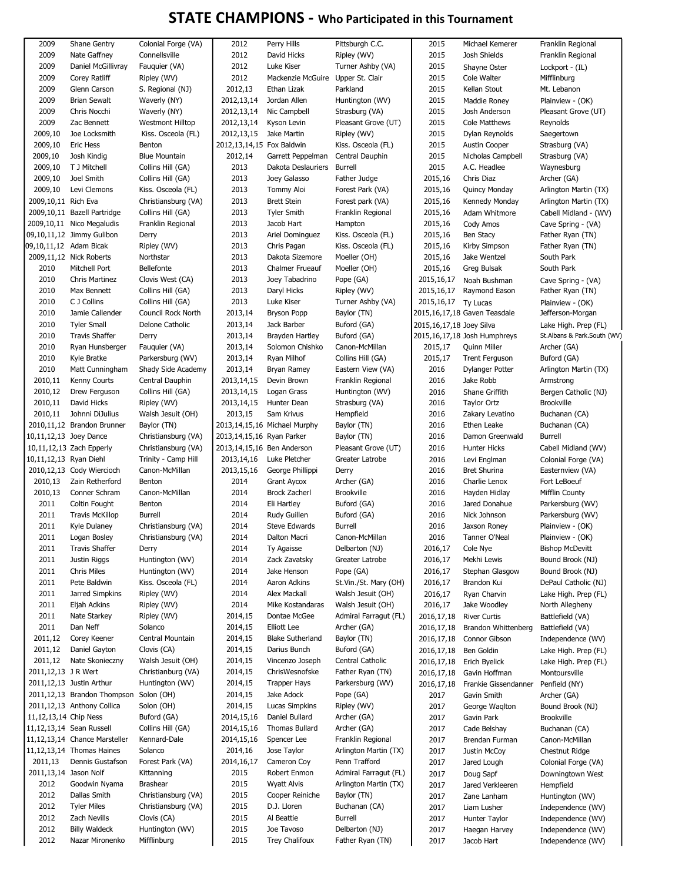## STATE CHAMPIONS - Who Participated in this Tournament

| 2009                     | Shane Gentry                  | Colonial Forge (VA)     | 2012                         | Perry Hills                       | Pittsburgh C.C.       | 2015                        | Michael Kemerer                 | Franklin Regional           |
|--------------------------|-------------------------------|-------------------------|------------------------------|-----------------------------------|-----------------------|-----------------------------|---------------------------------|-----------------------------|
| 2009                     | Nate Gaffney                  | Connellsville           | 2012                         | David Hicks                       | Ripley (WV)           | 2015                        | Josh Shields                    | Franklin Regional           |
| 2009                     | Daniel McGillivray            | Fauquier (VA)           | 2012                         | Luke Kiser                        | Turner Ashby (VA)     | 2015                        | Shayne Oster                    | Lockport - (IL)             |
| 2009                     | Corey Ratliff                 | Ripley (WV)             | 2012                         | Mackenzie McGuire Upper St. Clair |                       | 2015                        | Cole Walter                     | Mifflinburg                 |
| 2009                     | Glenn Carson                  | S. Regional (NJ)        | 2012,13                      | Ethan Lizak                       | Parkland              | 2015                        | Kellan Stout                    | Mt. Lebanon                 |
| 2009                     | <b>Brian Sewalt</b>           | Waverly (NY)            | 2012, 13, 14                 | Jordan Allen                      | Huntington (WV)       | 2015                        | Maddie Roney                    | Plainview - (OK)            |
| 2009                     | Chris Nocchi                  | Waverly (NY)            | 2012, 13, 14                 | Nic Campbell                      | Strasburg (VA)        | 2015                        | Josh Anderson                   | Pleasant Grove (UT)         |
| 2009                     | Zac Bennett                   | <b>Westmont Hilltop</b> | 2012, 13, 14                 | Kyson Levin                       | Pleasant Grove (UT)   | 2015                        | Cole Matthews                   | Reynolds                    |
| 2009,10                  | Joe Locksmith                 | Kiss. Osceola (FL)      | 2012, 13, 15                 | Jake Martin                       | Ripley (WV)           | 2015                        | Dylan Reynolds                  | Saegertown                  |
| 2009,10                  | <b>Eric Hess</b>              | Benton                  | 2012, 13, 14, 15 Fox Baldwin |                                   | Kiss. Osceola (FL)    | 2015                        | Austin Cooper                   | Strasburg (VA)              |
| 2009,10                  | Josh Kindig                   | <b>Blue Mountain</b>    | 2012,14                      | Garrett Peppelman                 | Central Dauphin       | 2015                        | Nicholas Campbell               | Strasburg (VA)              |
| 2009,10                  | T J Mitchell                  | Collins Hill (GA)       | 2013                         | Dakota Deslauriers                | <b>Burrell</b>        | 2015                        | A.C. Headlee                    | Waynesburg                  |
| 2009,10                  | Joel Smith                    | Collins Hill (GA)       | 2013                         | Joey Galasso                      | Father Judge          | 2015,16                     | Chris Diaz                      | Archer (GA)                 |
| 2009,10                  | Levi Clemons                  | Kiss. Osceola (FL)      | 2013                         | Tommy Aloi                        | Forest Park (VA)      | 2015,16                     | Quincy Monday                   | Arlington Martin (TX)       |
| 2009,10,11 Rich Eva      |                               | Christiansburg (VA)     | 2013                         | <b>Brett Stein</b>                | Forest park (VA)      | 2015,16                     | Kennedy Monday                  | Arlington Martin (TX)       |
|                          | 2009,10,11 Bazell Partridge   | Collins Hill (GA)       | 2013                         | <b>Tyler Smith</b>                | Franklin Regional     | 2015,16                     | Adam Whitmore                   | Cabell Midland - (WV)       |
|                          | 2009,10,11 Nico Megaludis     | Franklin Regional       | 2013                         | Jacob Hart                        | Hampton               | 2015,16                     | Cody Amos                       | Cave Spring - (VA)          |
|                          | 09,10,11,12 Jimmy Gulibon     | Derry                   | 2013                         | Ariel Dominguez                   | Kiss. Osceola (FL)    | 2015,16                     | Ben Stacy                       | Father Ryan (TN)            |
|                          |                               |                         |                              |                                   |                       |                             |                                 |                             |
| 09,10,11,12 Adam Bicak   |                               | Ripley (WV)             | 2013                         | Chris Pagan                       | Kiss. Osceola (FL)    | 2015,16                     | Kirby Simpson                   | Father Ryan (TN)            |
|                          | 2009,11,12 Nick Roberts       | Northstar               | 2013                         | Dakota Sizemore                   | Moeller (OH)          | 2015,16                     | Jake Wentzel                    | South Park                  |
| 2010                     | Mitchell Port                 | Bellefonte              | 2013                         | Chalmer Frueauf                   | Moeller (OH)          | 2015,16                     | Greg Bulsak                     | South Park                  |
| 2010                     | <b>Chris Martinez</b>         | Clovis West (CA)        | 2013                         | Joey Tabadrino                    | Pope (GA)             | 2015, 16, 17                | Noah Bushman                    | Cave Spring - (VA)          |
| 2010                     | Max Bennett                   | Collins Hill (GA)       | 2013                         | Daryl Hicks                       | Ripley (WV)           | 2015, 16, 17                | Raymond Eason                   | Father Ryan (TN)            |
| 2010                     | C J Collins                   | Collins Hill (GA)       | 2013                         | Luke Kiser                        | Turner Ashby (VA)     | 2015, 16, 17 Ty Lucas       |                                 | Plainview - (OK)            |
| 2010                     | Jamie Callender               | Council Rock North      | 2013,14                      | <b>Bryson Popp</b>                | Baylor (TN)           |                             | 2015,16,17,18 Gaven Teasdale    | Jefferson-Morgan            |
| 2010                     | <b>Tyler Small</b>            | Delone Catholic         | 2013,14                      | Jack Barber                       | Buford (GA)           | 2015, 16, 17, 18 Joey Silva |                                 | Lake High. Prep (FL)        |
| 2010                     | <b>Travis Shaffer</b>         | Derry                   | 2013,14                      | Brayden Hartley                   | Buford (GA)           |                             | 2015, 16, 17, 18 Josh Humphreys | St.Albans & Park.South (WV) |
| 2010                     | Ryan Hunsberger               | Fauquier (VA)           | 2013,14                      | Solomon Chishko                   | Canon-McMillan        | 2015,17                     | <b>Quinn Miller</b>             | Archer (GA)                 |
| 2010                     | Kyle Bratke                   | Parkersburg (WV)        | 2013,14                      | Ryan Milhof                       | Collins Hill (GA)     | 2015,17                     | <b>Trent Ferguson</b>           | Buford (GA)                 |
| 2010                     | Matt Cunningham               | Shady Side Academy      | 2013,14                      | Bryan Ramey                       | Eastern View (VA)     | 2016                        | Dylanger Potter                 | Arlington Martin (TX)       |
| 2010,11                  | Kenny Courts                  | Central Dauphin         | 2013, 14, 15                 | Devin Brown                       | Franklin Regional     | 2016                        | Jake Robb                       | Armstrong                   |
| 2010,12                  | Drew Ferguson                 | Collins Hill (GA)       | 2013,14,15                   | Logan Grass                       | Huntington (WV)       | 2016                        | Shane Griffith                  | Bergen Catholic (NJ)        |
| 2010,11                  | David Hicks                   | Ripley (WV)             | 2013, 14, 15                 | Hunter Dean                       | Strasburg (VA)        | 2016                        | Taylor Ortz                     | <b>Brookville</b>           |
| 2010,11                  | Johnni DiJulius               | Walsh Jesuit (OH)       | 2013,15                      | Sam Krivus                        | Hempfield             | 2016                        | Zakary Levatino                 | Buchanan (CA)               |
|                          | 2010,11,12 Brandon Brunner    | Baylor (TN)             |                              | 2013,14,15,16 Michael Murphy      | Baylor (TN)           | 2016                        | Ethen Leake                     | Buchanan (CA)               |
| 10,11,12,13 Joey Dance   |                               | Christiansburg (VA)     | 2013, 14, 15, 16 Ryan Parker |                                   | Baylor (TN)           | 2016                        | Damon Greenwald                 | Burrell                     |
|                          | 10,11,12,13 Zach Epperly      | Christiansburg (VA)     | 2013,14,15,16 Ben Anderson   |                                   | Pleasant Grove (UT)   | 2016                        | Hunter Hicks                    | Cabell Midland (WV)         |
| 10,11,12,13 Ryan Diehl   |                               | Trinity - Camp Hill     | 2013,14,16                   | Luke Pletcher                     | Greater Latrobe       | 2016                        | Levi Englman                    | Colonial Forge (VA)         |
|                          | 2010,12,13 Cody Wiercioch     | Canon-McMillan          | 2013, 15, 16                 | George Phillippi                  | Derry                 | 2016                        | Bret Shurina                    | Easternview (VA)            |
| 2010,13                  | Zain Retherford               | Benton                  | 2014                         | <b>Grant Aycox</b>                | Archer (GA)           | 2016                        | Charlie Lenox                   | Fort LeBoeuf                |
| 2010,13                  | Conner Schram                 | Canon-McMillan          | 2014                         | <b>Brock Zacherl</b>              | Brookville            | 2016                        | Hayden Hidlay                   | Mifflin County              |
| 2011                     | Coltin Fought                 | Benton                  | 2014                         | Eli Hartley                       | Buford (GA)           | 2016                        | Jared Donahue                   | Parkersburg (WV)            |
| 2011                     | <b>Travis McKillop</b>        | <b>Burrell</b>          | 2014                         | Rudy Guillen                      | Buford (GA)           | 2016                        | Nick Johnson                    | Parkersburg (WV)            |
| 2011                     | Kyle Dulaney                  | Christiansburg (VA)     | 2014                         | Steve Edwards                     | Burrell               | 2016                        | Jaxson Roney                    | Plainview - (OK)            |
| 2011                     | Logan Bosley                  | Christiansburg (VA)     | 2014                         | Dalton Macri                      | Canon-McMillan        | 2016                        | Tanner O'Neal                   | Plainview - (OK)            |
| 2011                     | <b>Travis Shaffer</b>         | Derry                   | 2014                         | Ty Agaisse                        | Delbarton (NJ)        | 2016,17                     | Cole Nye                        | <b>Bishop McDevitt</b>      |
| 2011                     | Justin Riggs                  | Huntington (WV)         | 2014                         | Zack Zavatsky                     | Greater Latrobe       | 2016,17                     | Mekhi Lewis                     | Bound Brook (NJ)            |
| 2011                     | Chris Miles                   | Huntington (WV)         | 2014                         | Jake Henson                       | Pope (GA)             | 2016,17                     | Stephan Glasgow                 | Bound Brook (NJ)            |
| 2011                     | Pete Baldwin                  | Kiss. Osceola (FL)      | 2014                         | Aaron Adkins                      | St.Vin./St. Mary (OH) | 2016,17                     | Brandon Kui                     | DePaul Catholic (NJ)        |
| 2011                     | Jarred Simpkins               | Ripley (WV)             | 2014                         | Alex Mackall                      | Walsh Jesuit (OH)     | 2016,17                     | Ryan Charvin                    | Lake High. Prep (FL)        |
| 2011                     | Eljah Adkins                  | Ripley (WV)             | 2014                         | Mike Kostandaras                  | Walsh Jesuit (OH)     | 2016,17                     | Jake Woodley                    | North Allegheny             |
| 2011                     | Nate Starkey                  | Ripley (WV)             | 2014,15                      | Dontae McGee                      | Admiral Farragut (FL) | 2016, 17, 18                | <b>River Curtis</b>             | Battlefield (VA)            |
| 2011                     | Dan Neff                      | Solanco                 | 2014,15                      | Elliott Lee                       | Archer (GA)           | 2016, 17, 18                | Brandon Whittenberg             | Battlefield (VA)            |
| 2011,12                  | Corey Keener                  | Central Mountain        | 2014,15                      | <b>Blake Sutherland</b>           | Baylor (TN)           | 2016, 17, 18                | Connor Gibson                   | Independence (WV)           |
| 2011,12                  | Daniel Gayton                 | Clovis (CA)             | 2014,15                      | Darius Bunch                      | Buford (GA)           | 2016, 17, 18                | Ben Goldin                      | Lake High. Prep (FL)        |
| 2011,12                  | Nate Skonieczny               | Walsh Jesuit (OH)       | 2014,15                      | Vincenzo Joseph                   | Central Catholic      | 2016, 17, 18                |                                 |                             |
|                          |                               |                         |                              | ChrisWesnofske                    |                       |                             | Erich Byelick                   | Lake High. Prep (FL)        |
| 2011,12,13 JR Wert       |                               | Christianburg (VA)      | 2014,15                      | <b>Trapper Hays</b>               | Father Ryan (TN)      | 2016, 17, 18                | Gavin Hoffman                   | Montoursville               |
|                          | 2011,12,13 Justin Arthur      | Huntington (WV)         | 2014,15                      |                                   | Parkersburg (WV)      | 2016, 17, 18                | Frankie Gissendanner            | Penfield (NY)               |
|                          | 2011,12,13 Brandon Thompson   | Solon (OH)              | 2014,15                      | Jake Adock                        | Pope (GA)             | 2017                        | Gavin Smith                     | Archer (GA)                 |
|                          | 2011,12,13 Anthony Collica    | Solon (OH)              | 2014,15                      | Lucas Simpkins                    | Ripley (WV)           | 2017                        | George Waqlton                  | Bound Brook (NJ)            |
| 11,12,13,14 Chip Ness    |                               | Buford (GA)             | 2014, 15, 16                 | Daniel Bullard                    | Archer (GA)           | 2017                        | Gavin Park                      | <b>Brookville</b>           |
| 11,12,13,14 Sean Russell |                               | Collins Hill (GA)       | 2014, 15, 16                 | Thomas Bullard                    | Archer (GA)           | 2017                        | Cade Belshay                    | Buchanan (CA)               |
|                          | 11,12,13,14 Chance Marsteller | Kennard-Dale            | 2014,15,16                   | Spencer Lee                       | Franklin Regional     | 2017                        | Brendan Furman                  | Canon-McMillan              |
|                          | 11,12,13,14 Thomas Haines     | Solanco                 | 2014,16                      | Jose Taylor                       | Arlington Martin (TX) | 2017                        | Justin McCoy                    | Chestnut Ridge              |
| 2011,13                  | Dennis Gustafson              | Forest Park (VA)        | 2014, 16, 17                 | Cameron Coy                       | Penn Trafford         | 2017                        | Jared Lough                     | Colonial Forge (VA)         |
| 2011,13,14 Jason Nolf    |                               | Kittanning              | 2015                         | Robert Enmon                      | Admiral Farragut (FL) | 2017                        | Doug Sapf                       | Downingtown West            |
| 2012                     | Goodwin Nyama                 | <b>Brashear</b>         | 2015                         | Wyatt Alvis                       | Arlington Martin (TX) | 2017                        | Jared Verkleeren                | Hempfield                   |
| 2012                     | Dallas Smith                  | Christiansburg (VA)     | 2015                         | Cooper Reiniche                   | Baylor (TN)           | 2017                        | Zane Lanham                     | Huntington (WV)             |
| 2012                     | <b>Tyler Miles</b>            | Christiansburg (VA)     | 2015                         | D.J. Lloren                       | Buchanan (CA)         | 2017                        | Liam Lusher                     | Independence (WV)           |
| 2012                     | Zach Nevills                  | Clovis (CA)             | 2015                         | Al Beattie                        | Burrell               | 2017                        | Hunter Taylor                   | Independence (WV)           |
| 2012                     | <b>Billy Waldeck</b>          | Huntington (WV)         | 2015                         | Joe Tavoso                        | Delbarton (NJ)        | 2017                        | Haegan Harvey                   | Independence (WV)           |
| 2012                     | Nazar Mironenko               | Mifflinburg             | 2015                         | Trey Chalifoux                    | Father Ryan (TN)      | 2017                        | Jacob Hart                      | Independence (WV)           |